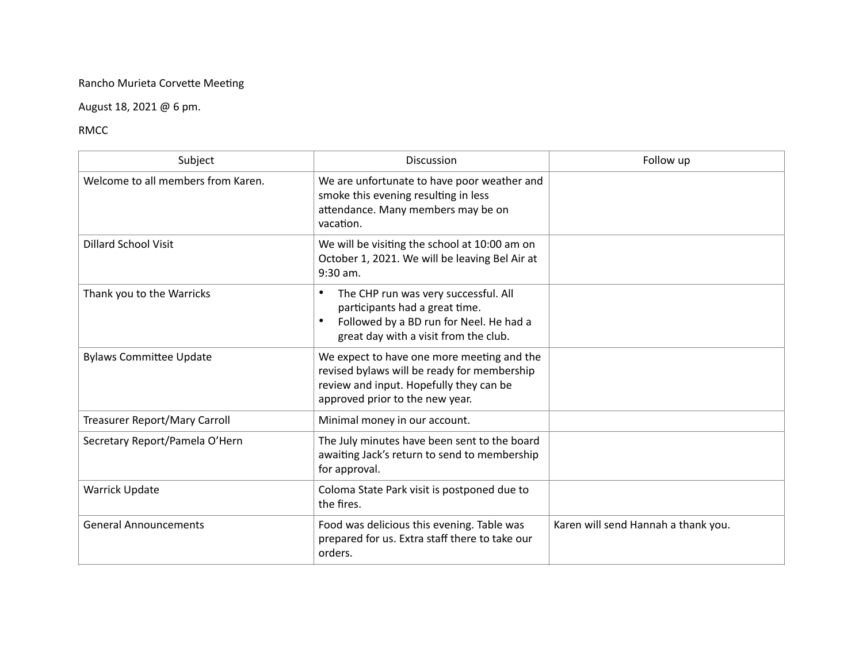## Rancho Murieta Corvette Meeting

## August 18, 2021 @ 6 pm.

## RMCC

| Subject                            | Discussion                                                                                                                                                              | Follow up                           |
|------------------------------------|-------------------------------------------------------------------------------------------------------------------------------------------------------------------------|-------------------------------------|
| Welcome to all members from Karen. | We are unfortunate to have poor weather and<br>smoke this evening resulting in less<br>attendance. Many members may be on<br>vacation.                                  |                                     |
| <b>Dillard School Visit</b>        | We will be visiting the school at 10:00 am on<br>October 1, 2021. We will be leaving Bel Air at<br>$9:30$ am.                                                           |                                     |
| Thank you to the Warricks          | The CHP run was very successful. All<br>participants had a great time.<br>Followed by a BD run for Neel. He had a<br>great day with a visit from the club.              |                                     |
| <b>Bylaws Committee Update</b>     | We expect to have one more meeting and the<br>revised bylaws will be ready for membership<br>review and input. Hopefully they can be<br>approved prior to the new year. |                                     |
| Treasurer Report/Mary Carroll      | Minimal money in our account.                                                                                                                                           |                                     |
| Secretary Report/Pamela O'Hern     | The July minutes have been sent to the board<br>awaiting Jack's return to send to membership<br>for approval.                                                           |                                     |
| <b>Warrick Update</b>              | Coloma State Park visit is postponed due to<br>the fires.                                                                                                               |                                     |
| <b>General Announcements</b>       | Food was delicious this evening. Table was<br>prepared for us. Extra staff there to take our<br>orders.                                                                 | Karen will send Hannah a thank you. |